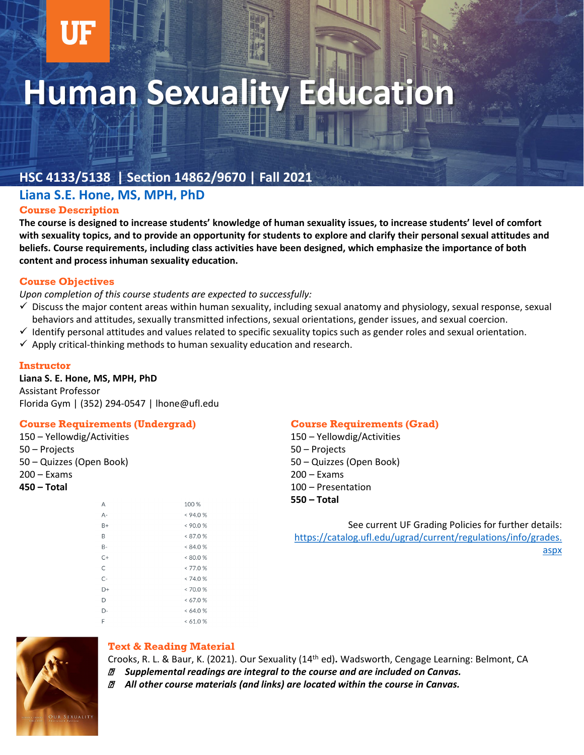# **Human Sexuality Education**

## **HSC 4133/5138 | Section 14862/9670 | Fall 2021**

#### **[Liana S.E. Hone, MS, MPH, PhD](mailto:Celia.slater@ufl.edu)**

#### **Course Description**

**The course is designed to increase students' knowledge of human sexuality issues, to increase students' level of comfort with sexuality topics, and to provide an opportunity for students to explore and clarify their personal sexual attitudes and beliefs. Course requirements, including class activities have been designed, which emphasize the importance of both content and process inhuman sexuality education.** 

#### **Course Objectives**

*Upon completion of this course students are expected to successfully:* 

- $\checkmark$  Discuss the major content areas within human sexuality, including sexual anatomy and physiology, sexual response, sexual behaviors and attitudes, sexually transmitted infections, sexual orientations, gender issues, and sexual coercion.
- $\checkmark$  Identify personal attitudes and values related to specific sexuality topics such as gender roles and sexual orientation.
- $\checkmark$  Apply critical-thinking methods to human sexuality education and research.

#### **Instructor**

#### **Liana S. E. Hone, MS, MPH, PhD** Assistant Professor

Florida Gym | (352) 294-0547 | lhone@ufl.edu

#### **Course Requirements (Undergrad)**

150 – Yellowdig/Activities 50 – Projects 50 – Quizzes (Open Book) 200 – Exams **450 – Total**

| А     | 100 %    |
|-------|----------|
| А-    | < 94.0%  |
| $B+$  | < 90.0 % |
| B     | < 87.0 % |
| B-    | < 84.0 % |
| $C+$  | < 80.0 % |
| C     | < 77.0 % |
| $C -$ | < 74.0 % |
| D+    | < 70.0 % |
| D     | <67.0%   |
| D-    | < 64.0 % |
| F     | <61.0%   |

#### **Course Requirements (Grad)**

150 – Yellowdig/Activities 50 – Projects 50 – Quizzes (Open Book) 200 – Exams 100 – Presentation **550 – Total**

See current UF Grading Policies for further details: [https://catalog.ufl.edu/ugrad/current/regulations/info/grades.](https://catalog.ufl.edu/ugrad/current/regulations/info/grades.aspx) aspx



#### **Text & Reading Material**

Crooks, R. L. & Baur, K. (2021). Our Sexuality (14th ed)**.** Wadsworth, Cengage Learning: Belmont, CA *Supplemental readings are integral to the course and are included on Canvas.*

*All other course materials (and links) are located within the course in Canvas.*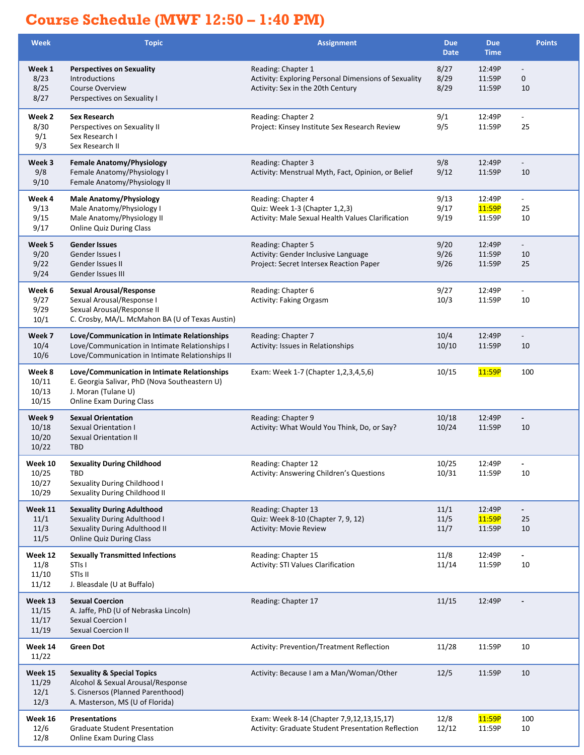## **Course Schedule (MWF 12:50 – 1:40 PM)**

| <b>Week</b>                        | <b>Topic</b>                                                                                                                                            | <b>Assignment</b>                                                                                               | <b>Due</b><br><b>Date</b> | <b>Due</b><br><b>Time</b>  | <b>Points</b>                        |
|------------------------------------|---------------------------------------------------------------------------------------------------------------------------------------------------------|-----------------------------------------------------------------------------------------------------------------|---------------------------|----------------------------|--------------------------------------|
| Week 1<br>8/23<br>8/25<br>8/27     | <b>Perspectives on Sexuality</b><br>Introductions<br>Course Overview<br>Perspectives on Sexuality I                                                     | Reading: Chapter 1<br>Activity: Exploring Personal Dimensions of Sexuality<br>Activity: Sex in the 20th Century | 8/27<br>8/29<br>8/29      | 12:49P<br>11:59P<br>11:59P | $\mathbf 0$<br>10                    |
| Week 2<br>8/30<br>9/1<br>9/3       | Sex Research<br>Perspectives on Sexuality II<br>Sex Research I<br>Sex Research II                                                                       | Reading: Chapter 2<br>Project: Kinsey Institute Sex Research Review                                             | 9/1<br>9/5                | 12:49P<br>11:59P           | $\blacksquare$<br>25                 |
| Week 3<br>9/8<br>9/10              | <b>Female Anatomy/Physiology</b><br>Female Anatomy/Physiology I<br>Female Anatomy/Physiology II                                                         | Reading: Chapter 3<br>Activity: Menstrual Myth, Fact, Opinion, or Belief                                        | 9/8<br>9/12               | 12:49P<br>11:59P           | $\overline{\phantom{a}}$<br>10       |
| Week 4<br>9/13<br>9/15<br>9/17     | <b>Male Anatomy/Physiology</b><br>Male Anatomy/Physiology I<br>Male Anatomy/Physiology II<br><b>Online Quiz During Class</b>                            | Reading: Chapter 4<br>Quiz: Week 1-3 (Chapter 1,2,3)<br>Activity: Male Sexual Health Values Clarification       | 9/13<br>9/17<br>9/19      | 12:49P<br>11:59P<br>11:59P | $\overline{\phantom{a}}$<br>25<br>10 |
| Week 5<br>9/20<br>9/22<br>9/24     | <b>Gender Issues</b><br>Gender Issues I<br>Gender Issues II<br>Gender Issues III                                                                        | Reading: Chapter 5<br>Activity: Gender Inclusive Language<br>Project: Secret Intersex Reaction Paper            | 9/20<br>9/26<br>9/26      | 12:49P<br>11:59P<br>11:59P | $\overline{\phantom{a}}$<br>10<br>25 |
| Week 6<br>9/27<br>9/29<br>10/1     | <b>Sexual Arousal/Response</b><br>Sexual Arousal/Response I<br>Sexual Arousal/Response II<br>C. Crosby, MA/L. McMahon BA (U of Texas Austin)            | Reading: Chapter 6<br>Activity: Faking Orgasm                                                                   | 9/27<br>10/3              | 12:49P<br>11:59P           | $\overline{\phantom{a}}$<br>10       |
| Week 7<br>10/4<br>10/6             | Love/Communication in Intimate Relationships<br>Love/Communication in Intimate Relationships I<br>Love/Communication in Intimate Relationships II       | Reading: Chapter 7<br>Activity: Issues in Relationships                                                         | 10/4<br>10/10             | 12:49P<br>11:59P           | $\overline{\phantom{a}}$<br>10       |
| Week 8<br>10/11<br>10/13<br>10/15  | Love/Communication in Intimate Relationships<br>E. Georgia Salivar, PhD (Nova Southeastern U)<br>J. Moran (Tulane U)<br><b>Online Exam During Class</b> | Exam: Week 1-7 (Chapter 1,2,3,4,5,6)                                                                            | 10/15                     | 11:59P                     | 100                                  |
| Week 9<br>10/18<br>10/20<br>10/22  | <b>Sexual Orientation</b><br><b>Sexual Orientation I</b><br>Sexual Orientation II<br><b>TBD</b>                                                         | Reading: Chapter 9<br>Activity: What Would You Think, Do, or Say?                                               | 10/18<br>10/24            | 12:49P<br>11:59P           | 10                                   |
| Week 10<br>10/25<br>10/27<br>10/29 | <b>Sexuality During Childhood</b><br><b>TBD</b><br>Sexuality During Childhood I<br>Sexuality During Childhood II                                        | Reading: Chapter 12<br>Activity: Answering Children's Questions                                                 | 10/25<br>10/31            | 12:49P<br>11:59P           | 10                                   |
| Week 11<br>11/1<br>11/3<br>11/5    | <b>Sexuality During Adulthood</b><br>Sexuality During Adulthood I<br>Sexuality During Adulthood II<br><b>Online Quiz During Class</b>                   | Reading: Chapter 13<br>Quiz: Week 8-10 (Chapter 7, 9, 12)<br><b>Activity: Movie Review</b>                      | 11/1<br>11/5<br>11/7      | 12:49P<br>11:59P<br>11:59P | $\overline{\phantom{a}}$<br>25<br>10 |
| Week 12<br>11/8<br>11/10<br>11/12  | <b>Sexually Transmitted Infections</b><br>STI <sub>s</sub> I<br>STIs II<br>J. Bleasdale (U at Buffalo)                                                  | Reading: Chapter 15<br>Activity: STI Values Clarification                                                       | 11/8<br>11/14             | 12:49P<br>11:59P           | $\overline{\phantom{a}}$<br>10       |
| Week 13<br>11/15<br>11/17<br>11/19 | <b>Sexual Coercion</b><br>A. Jaffe, PhD (U of Nebraska Lincoln)<br><b>Sexual Coercion I</b><br><b>Sexual Coercion II</b>                                | Reading: Chapter 17                                                                                             | 11/15                     | 12:49P                     |                                      |
| Week 14<br>11/22                   | <b>Green Dot</b>                                                                                                                                        | Activity: Prevention/Treatment Reflection                                                                       | 11/28                     | 11:59P                     | 10                                   |
| Week 15<br>11/29<br>12/1<br>12/3   | <b>Sexuality &amp; Special Topics</b><br>Alcohol & Sexual Arousal/Response<br>S. Cisnersos (Planned Parenthood)<br>A. Masterson, MS (U of Florida)      | Activity: Because I am a Man/Woman/Other                                                                        | 12/5                      | 11:59P                     | 10                                   |
| Week 16<br>12/6<br>12/8            | <b>Presentations</b><br><b>Graduate Student Presentation</b><br>Online Exam During Class                                                                | Exam: Week 8-14 (Chapter 7,9,12,13,15,17)<br>Activity: Graduate Student Presentation Reflection                 | 12/8<br>12/12             | 11:59P<br>11:59P           | 100<br>10                            |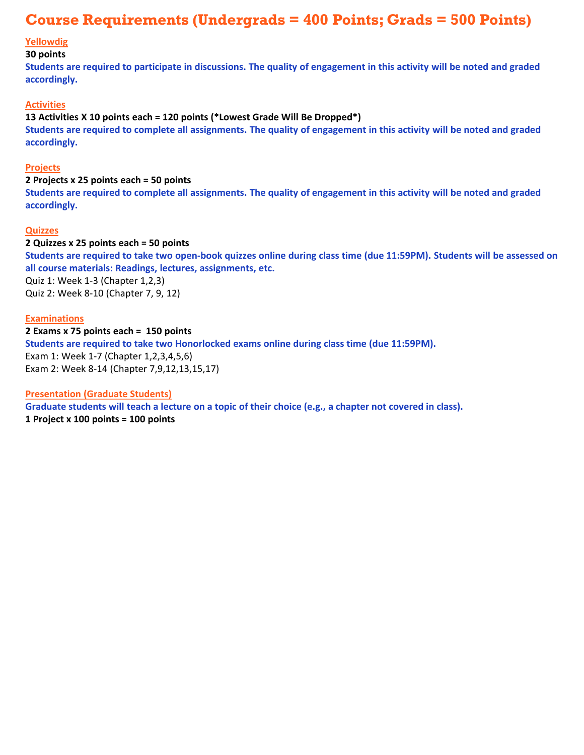## **Course Requirements (Undergrads = 400 Points; Grads = 500 Points)**

#### **Yellowdig**

#### **30 points**

**Students are required to participate in discussions. The quality of engagement in this activity will be noted and graded accordingly.**

#### **Activities**

#### **13 Activities X 10 points each = 120 points (\*Lowest Grade Will Be Dropped\*)**

**Students are required to complete all assignments. The quality of engagement in this activity will be noted and graded accordingly.**

#### **Projects**

#### **2 Projects x 25 points each = 50 points**

**Students are required to complete all assignments. The quality of engagement in this activity will be noted and graded accordingly.**

#### **Quizzes**

#### **2 Quizzes x 25 points each = 50 points**

**Students are required to take two open-book quizzes online during class time (due 11:59PM). Students will be assessed on all course materials: Readings, lectures, assignments, etc.** 

Quiz 1: Week 1-3 (Chapter 1,2,3) Quiz 2: Week 8-10 (Chapter 7, 9, 12)

#### **Examinations**

**2 Exams x 75 points each = 150 points Students are required to take two Honorlocked exams online during class time (due 11:59PM).**  Exam 1: Week 1-7 (Chapter 1,2,3,4,5,6) Exam 2: Week 8-14 (Chapter 7,9,12,13,15,17)

#### **Presentation (Graduate Students)**

**Graduate students will teach a lecture on a topic of their choice (e.g., a chapter not covered in class). 1 Project x 100 points = 100 points**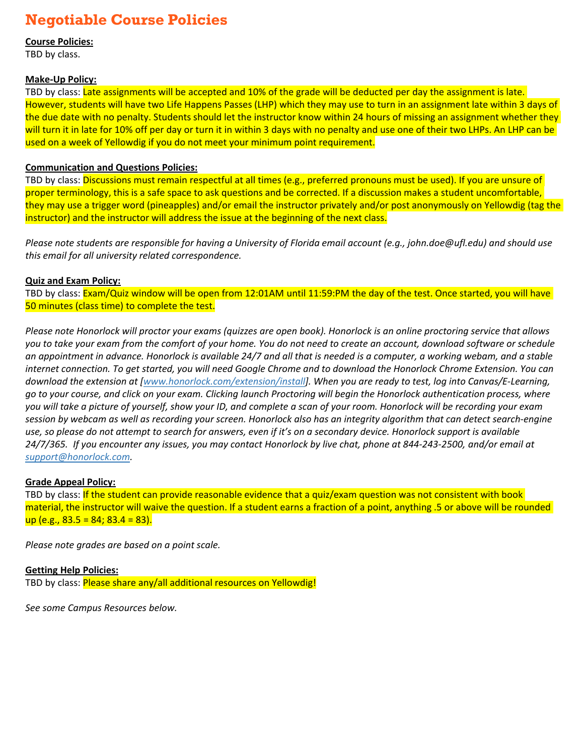## **Negotiable Course Policies**

**Course Policies:**

TBD by class.

#### **Make-Up Policy:**

TBD by class: Late assignments will be accepted and 10% of the grade will be deducted per day the assignment is late. However, students will have two Life Happens Passes (LHP) which they may use to turn in an assignment late within 3 days of the due date with no penalty. Students should let the instructor know within 24 hours of missing an assignment whether they will turn it in late for 10% off per day or turn it in within 3 days with no penalty and use one of their two LHPs. An LHP can be used on a week of Yellowdig if you do not meet your minimum point requirement.

#### **Communication and Questions Policies:**

TBD by class: Discussions must remain respectful at all times (e.g., preferred pronouns must be used). If you are unsure of proper terminology, this is a safe space to ask questions and be corrected. If a discussion makes a student uncomfortable, they may use a trigger word (pineapples) and/or email the instructor privately and/or post anonymously on Yellowdig (tag the instructor) and the instructor will address the issue at the beginning of the next class.

*Please note students are responsible for having a University of Florida email account (e.g., john.doe@ufl.edu) and should use this email for all university related correspondence.* 

#### **Quiz and Exam Policy:**

TBD by class: Exam/Quiz window will be open from 12:01AM until 11:59:PM the day of the test. Once started, you will have 50 minutes (class time) to complete the test.

*Please note Honorlock will proctor your exams (quizzes are open book). Honorlock is an online proctoring service that allows you to take your exam from the comfort of your home. You do not need to create an account, download software or schedule an appointment in advance. Honorlock is available 24/7 and all that is needed is a computer, a working webam, and a stable internet connection. To get started, you will need Google Chrome and to download the Honorlock Chrome Extension. You can download the extension at [www.honorlock.com/extension/install]. When you are ready to test, log into Canvas/E-Learning, go to your course, and click on your exam. Clicking launch Proctoring will begin the Honorlock authentication process, where you will take a picture of yourself, show your ID, and complete a scan of your room. Honorlock will be recording your exam session by webcam as well as recording your screen. Honorlock also has an integrity algorithm that can detect search-engine use, so please do not attempt to search for answers, even if it's on a secondary device. Honorlock support is available 24/7/365. If you encounter any issues, you may contact Honorlock by live chat, phone at 844-243-2500, and/or email at support@honorlock.com.*

#### **Grade Appeal Policy:**

TBD by class: If the student can provide reasonable evidence that a quiz/exam question was not consistent with book material, the instructor will waive the question. If a student earns a fraction of a point, anything .5 or above will be rounded up (e.g.,  $83.5 = 84$ ;  $83.4 = 83$ ).

*Please note grades are based on a point scale.* 

**Getting Help Policies:** TBD by class: Please share any/all additional resources on Yellowdig!

*See some Campus Resources below.*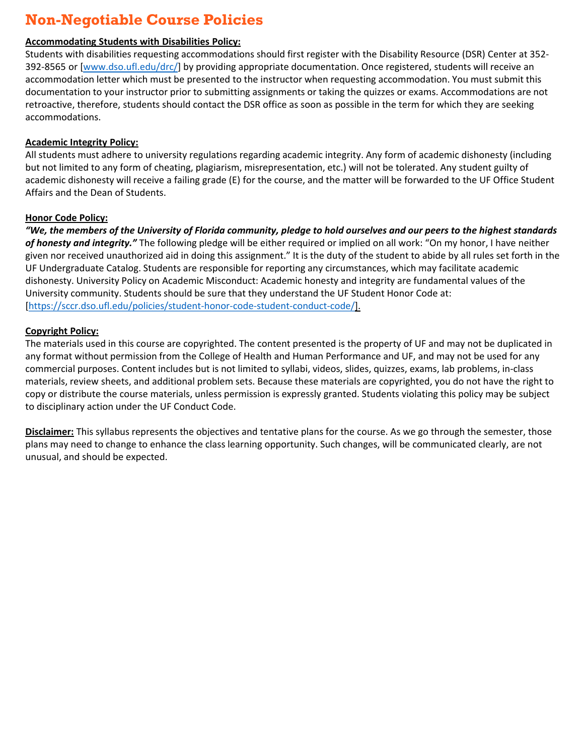## **Non-Negotiable Course Policies**

#### **Accommodating Students with Disabilities Policy:**

Students with disabilities requesting accommodations should first register with the Disability Resource (DSR) Center at 352- 392-8565 or [\[www.dso.ufl.edu/drc/](http://www.dso.ufl.edu/drc/))] by providing appropriate documentation. Once registered, students will receive an accommodation letter which must be presented to the instructor when requesting accommodation. You must submit this documentation to your instructor prior to submitting assignments or taking the quizzes or exams. Accommodations are not retroactive, therefore, students should contact the DSR office as soon as possible in the term for which they are seeking accommodations.

#### **Academic Integrity Policy:**

All students must adhere to university regulations regarding academic integrity. Any form of academic dishonesty (including but not limited to any form of cheating, plagiarism, misrepresentation, etc.) will not be tolerated. Any student guilty of academic dishonesty will receive a failing grade (E) for the course, and the matter will be forwarded to the UF Office Student Affairs and the Dean of Students.

#### **Honor Code Policy:**

*"We, the members of the University of Florida community, pledge to hold ourselves and our peers to the highest standards of honesty and integrity."* The following pledge will be either required or implied on all work: "On my honor, I have neither given nor received unauthorized aid in doing this assignment." It is the duty of the student to abide by all rules set forth in the UF Undergraduate Catalog. Students are responsible for reporting any circumstances, which may facilitate academic dishonesty. University Policy on Academic Misconduct: Academic honesty and integrity are fundamental values of the University community. Students should be sure that they understand the UF Student Honor Code at: [\[https://sccr.dso.ufl.edu/policies/student-honor-code-student-conduct-code/](https://sccr.dso.ufl.edu/policies/student-honor-code-student-conduct-code/)].

#### **Copyright Policy:**

The materials used in this course are copyrighted. The content presented is the property of UF and may not be duplicated in any format without permission from the College of Health and Human Performance and UF, and may not be used for any commercial purposes. Content includes but is not limited to syllabi, videos, slides, quizzes, exams, lab problems, in-class materials, review sheets, and additional problem sets. Because these materials are copyrighted, you do not have the right to copy or distribute the course materials, unless permission is expressly granted. Students violating this policy may be subject to disciplinary action under the UF Conduct Code.

**Disclaimer:** This syllabus represents the objectives and tentative plans for the course. As we go through the semester, those plans may need to change to enhance the class learning opportunity. Such changes, will be communicated clearly, are not unusual, and should be expected.